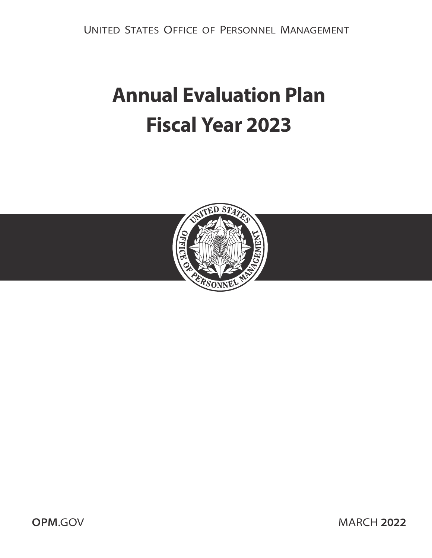UNITED STATES OFFICE OF PERSONNEL MANAGEMENT

# **Annual Evaluation Plan Fiscal Year 2023**



**OPM.GOV MARCH 2022**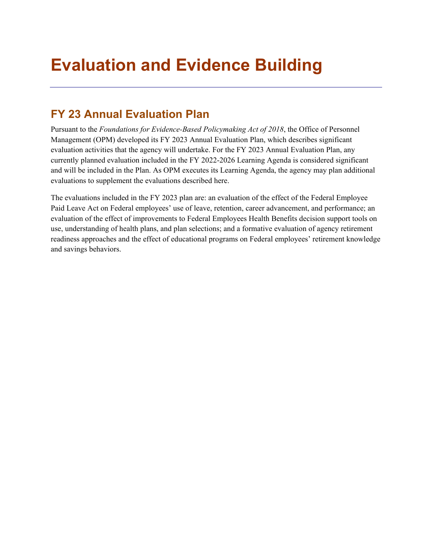## **Evaluation and Evidence Building**

## **FY 23 Annual Evaluation Plan**

Pursuant to the *Foundations for Evidence-Based Policymaking Act of 2018*, the Office of Personnel Management (OPM) developed its FY 2023 Annual Evaluation Plan, which describes significant evaluation activities that the agency will undertake. For the FY 2023 Annual Evaluation Plan, any currently planned evaluation included in the FY 2022-2026 Learning Agenda is considered significant and will be included in the Plan. As OPM executes its Learning Agenda, the agency may plan additional evaluations to supplement the evaluations described here.

The evaluations included in the FY 2023 plan are: an evaluation of the effect of the Federal Employee Paid Leave Act on Federal employees' use of leave, retention, career advancement, and performance; an evaluation of the effect of improvements to Federal Employees Health Benefits decision support tools on use, understanding of health plans, and plan selections; and a formative evaluation of agency retirement readiness approaches and the effect of educational programs on Federal employees' retirement knowledge and savings behaviors.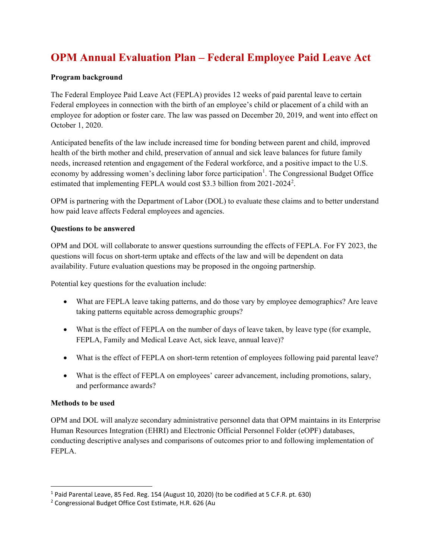## **OPM Annual Evaluation Plan – Federal Employee Paid Leave Act**

#### **Program background**

The Federal Employee Paid Leave Act (FEPLA) provides 12 weeks of paid parental leave to certain Federal employees in connection with the birth of an employee's child or placement of a child with an employee for adoption or foster care. The law was passed on December 20, 2019, and went into effect on October 1, 2020.

Anticipated benefits of the law include increased time for bonding between parent and child, improved health of the birth mother and child, preservation of annual and sick leave balances for future family needs, increased retention and engagement of the Federal workforce, and a positive impact to the U.S. economy by addressing women's declining labor force participation<sup>[1](#page-2-0)</sup>. The Congressional Budget Office estimated that implementing FEPLA would cost \$3.3 billion from [2](#page-2-1)021-2024<sup>2</sup>.

OPM is partnering with the Department of Labor (DOL) to evaluate these claims and to better understand how paid leave affects Federal employees and agencies.

#### **Questions to be answered**

OPM and DOL will collaborate to answer questions surrounding the effects of FEPLA. For FY 2023, the questions will focus on short-term uptake and effects of the law and will be dependent on data availability. Future evaluation questions may be proposed in the ongoing partnership.

Potential key questions for the evaluation include:

- What are FEPLA leave taking patterns, and do those vary by employee demographics? Are leave taking patterns equitable across demographic groups?
- What is the effect of FEPLA on the number of days of leave taken, by leave type (for example, FEPLA, Family and Medical Leave Act, sick leave, annual leave)?
- What is the effect of FEPLA on short-term retention of employees following paid parental leave?
- What is the effect of FEPLA on employees' career advancement, including promotions, salary, and performance awards?

#### **Methods to be used**

OPM and DOL will analyze secondary administrative personnel data that OPM maintains in its Enterprise Human Resources Integration (EHRI) and Electronic Official Personnel Folder (eOPF) databases, conducting descriptive analyses and comparisons of outcomes prior to and following implementation of FEPLA.

<span id="page-2-0"></span><sup>1</sup> Paid Parental Leave, 85 Fed. Reg. 154 (August 10, 2020) (to be codified at 5 C.F.R. pt. 630)

<span id="page-2-1"></span><sup>2</sup> Congressional Budget Office Cost Estimate, H.R. 626 (Au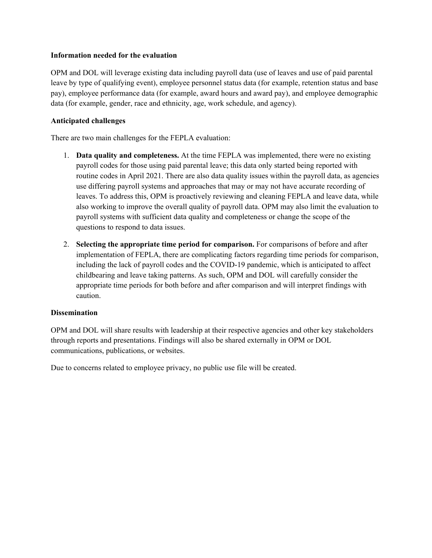#### **Information needed for the evaluation**

OPM and DOL will leverage existing data including payroll data (use of leaves and use of paid parental leave by type of qualifying event), employee personnel status data (for example, retention status and base pay), employee performance data (for example, award hours and award pay), and employee demographic data (for example, gender, race and ethnicity, age, work schedule, and agency).

#### **Anticipated challenges**

There are two main challenges for the FEPLA evaluation:

- 1. **Data quality and completeness.** At the time FEPLA was implemented, there were no existing payroll codes for those using paid parental leave; this data only started being reported with routine codes in April 2021. There are also data quality issues within the payroll data, as agencies use differing payroll systems and approaches that may or may not have accurate recording of leaves. To address this, OPM is proactively reviewing and cleaning FEPLA and leave data, while also working to improve the overall quality of payroll data. OPM may also limit the evaluation to payroll systems with sufficient data quality and completeness or change the scope of the questions to respond to data issues.
- 2. **Selecting the appropriate time period for comparison.** For comparisons of before and after implementation of FEPLA, there are complicating factors regarding time periods for comparison, including the lack of payroll codes and the COVID-19 pandemic, which is anticipated to affect childbearing and leave taking patterns. As such, OPM and DOL will carefully consider the appropriate time periods for both before and after comparison and will interpret findings with caution.

#### **Dissemination**

OPM and DOL will share results with leadership at their respective agencies and other key stakeholders through reports and presentations. Findings will also be shared externally in OPM or DOL communications, publications, or websites.

Due to concerns related to employee privacy, no public use file will be created.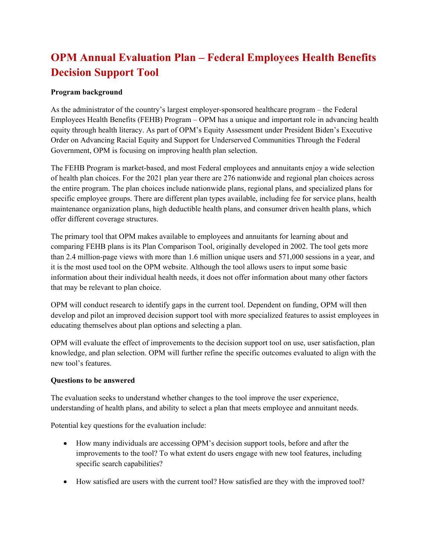## **OPM Annual Evaluation Plan – Federal Employees Health Benefits Decision Support Tool**

#### **Program background**

As the administrator of the country's largest employer-sponsored healthcare program – the Federal Employees Health Benefits (FEHB) Program – OPM has a unique and important role in advancing health equity through health literacy. As part of OPM's Equity Assessment under President Biden's Executive Order on Advancing Racial Equity and Support for Underserved Communities Through the Federal Government, OPM is focusing on improving health plan selection.

The FEHB Program is market-based, and most Federal employees and annuitants enjoy a wide selection of health plan choices. For the 2021 plan year there are 276 nationwide and regional plan choices across the entire program. The plan choices include nationwide plans, regional plans, and specialized plans for specific employee groups. There are different plan types available, including fee for service plans, health maintenance organization plans, high deductible health plans, and consumer driven health plans, which offer different coverage structures.

The primary tool that OPM makes available to employees and annuitants for learning about and comparing FEHB plans is its Plan Comparison Tool, originally developed in 2002. The tool gets more than 2.4 million-page views with more than 1.6 million unique users and 571,000 sessions in a year, and it is the most used tool on the OPM website. Although the tool allows users to input some basic information about their individual health needs, it does not offer information about many other factors that may be relevant to plan choice.

OPM will conduct research to identify gaps in the current tool. Dependent on funding, OPM will then develop and pilot an improved decision support tool with more specialized features to assist employees in educating themselves about plan options and selecting a plan.

OPM will evaluate the effect of improvements to the decision support tool on use, user satisfaction, plan knowledge, and plan selection. OPM will further refine the specific outcomes evaluated to align with the new tool's features.

#### **Questions to be answered**

The evaluation seeks to understand whether changes to the tool improve the user experience, understanding of health plans, and ability to select a plan that meets employee and annuitant needs.

Potential key questions for the evaluation include:

- How many individuals are accessing OPM's decision support tools, before and after the improvements to the tool? To what extent do users engage with new tool features, including specific search capabilities?
- How satisfied are users with the current tool? How satisfied are they with the improved tool?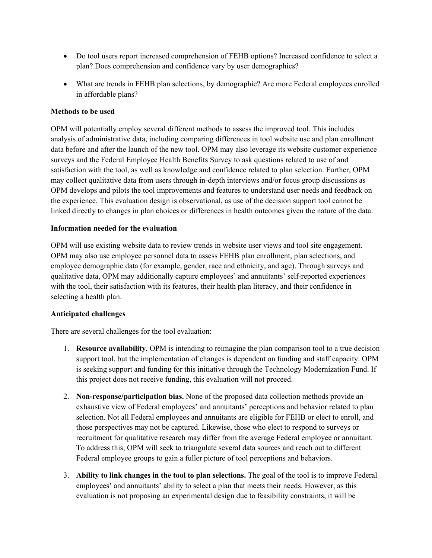- Do tool users report increased comprehension of FEHB options? Increased confidence to select a plan? Does comprehension and confidence vary by user demographics?
- What are trends in FEHB plan selections, by demographic? Are more Federal employees enrolled in affordable plans?

#### **Methods to be used**

OPM will potentially employ several different methods to assess the improved tool. This includes analysis of administrative data, including comparing differences in tool website use and plan enrollment data before and after the launch of the new tool. OPM may also leverage its website customer experience surveys and the Federal Employee Health Benefits Survey to ask questions related to use of and satisfaction with the tool, as well as knowledge and confidence related to plan selection. Further, OPM may collect qualitative data from users through in-depth interviews and/or focus group discussions as OPM develops and pilots the tool improvements and features to understand user needs and feedback on the experience. This evaluation design is observational, as use of the decision support tool cannot be linked directly to changes in plan choices or differences in health outcomes given the nature of the data.

#### **Information needed for the evaluation**

OPM will use existing website data to review trends in website user views and tool site engagement. OPM may also use employee personnel data to assess FEHB plan enrollment, plan selections, and employee demographic data (for example, gender, race and ethnicity, and age). Through surveys and qualitative data, OPM may additionally capture employees' and annuitants' self-reported experiences with the tool, their satisfaction with its features, their health plan literacy, and their confidence in selecting a health plan.

#### **Anticipated challenges**

There are several challenges for the tool evaluation:

- 1. **Resource availability.** OPM is intending to reimagine the plan comparison tool to a true decision support tool, but the implementation of changes is dependent on funding and staff capacity. OPM is seeking support and funding for this initiative through the Technology Modernization Fund. If this project does not receive funding, this evaluation will not proceed.
- 2. **Non-response/participation bias.** None of the proposed data collection methods provide an exhaustive view of Federal employees' and annuitants' perceptions and behavior related to plan selection. Not all Federal employees and annuitants are eligible for FEHB or elect to enroll, and those perspectives may not be captured. Likewise, those who elect to respond to surveys or recruitment for qualitative research may differ from the average Federal employee or annuitant. To address this, OPM will seek to triangulate several data sources and reach out to different Federal employee groups to gain a fuller picture of tool perceptions and behaviors.
- 3. **Ability to link changes in the tool to plan selections.** The goal of the tool is to improve Federal employees' and annuitants' ability to select a plan that meets their needs. However, as this evaluation is not proposing an experimental design due to feasibility constraints, it will be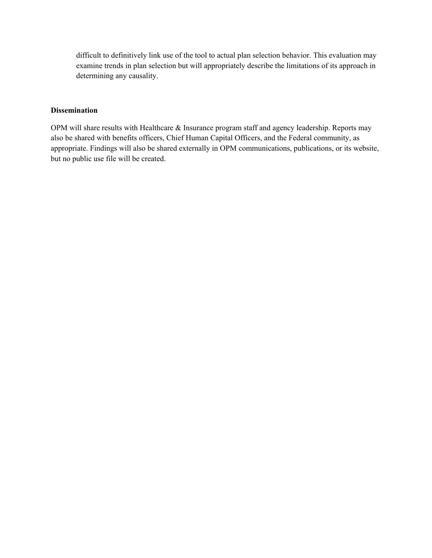difficult to definitively link use of the tool to actual plan selection behavior. This evaluation may examine trends in plan selection but will appropriately describe the limitations of its approach in determining any causality.

#### **Dissemination**

OPM will share results with Healthcare & Insurance program staff and agency leadership. Reports may also be shared with benefits officers, Chief Human Capital Officers, and the Federal community, as appropriate. Findings will also be shared externally in OPM communications, publications, or its website, but no public use file will be created.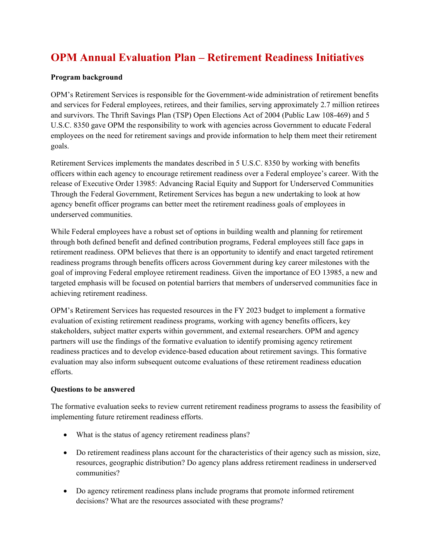## **OPM Annual Evaluation Plan – Retirement Readiness Initiatives**

#### **Program background**

OPM's Retirement Services is responsible for the Government-wide administration of retirement benefits and services for Federal employees, retirees, and their families, serving approximately 2.7 million retirees and survivors. The Thrift Savings Plan (TSP) Open Elections Act of 2004 (Public Law 108-469) and 5 U.S.C. 8350 gave OPM the responsibility to work with agencies across Government to educate Federal employees on the need for retirement savings and provide information to help them meet their retirement goals.

Retirement Services implements the mandates described in 5 U.S.C. 8350 by working with benefits officers within each agency to encourage retirement readiness over a Federal employee's career. With the release of Executive Order 13985: Advancing Racial Equity and Support for Underserved Communities Through the Federal Government, Retirement Services has begun a new undertaking to look at how agency benefit officer programs can better meet the retirement readiness goals of employees in underserved communities.

While Federal employees have a robust set of options in building wealth and planning for retirement through both defined benefit and defined contribution programs, Federal employees still face gaps in retirement readiness. OPM believes that there is an opportunity to identify and enact targeted retirement readiness programs through benefits officers across Government during key career milestones with the goal of improving Federal employee retirement readiness. Given the importance of EO 13985, a new and targeted emphasis will be focused on potential barriers that members of underserved communities face in achieving retirement readiness.

OPM's Retirement Services has requested resources in the FY 2023 budget to implement a formative evaluation of existing retirement readiness programs, working with agency benefits officers, key stakeholders, subject matter experts within government, and external researchers. OPM and agency partners will use the findings of the formative evaluation to identify promising agency retirement readiness practices and to develop evidence-based education about retirement savings. This formative evaluation may also inform subsequent outcome evaluations of these retirement readiness education efforts.

#### **Questions to be answered**

The formative evaluation seeks to review current retirement readiness programs to assess the feasibility of implementing future retirement readiness efforts.

- What is the status of agency retirement readiness plans?
- Do retirement readiness plans account for the characteristics of their agency such as mission, size, resources, geographic distribution? Do agency plans address retirement readiness in underserved communities?
- Do agency retirement readiness plans include programs that promote informed retirement decisions? What are the resources associated with these programs?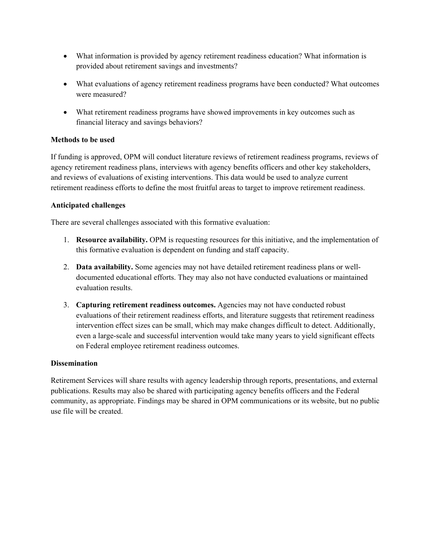- What information is provided by agency retirement readiness education? What information is provided about retirement savings and investments?
- What evaluations of agency retirement readiness programs have been conducted? What outcomes were measured?
- What retirement readiness programs have showed improvements in key outcomes such as financial literacy and savings behaviors?

#### **Methods to be used**

If funding is approved, OPM will conduct literature reviews of retirement readiness programs, reviews of agency retirement readiness plans, interviews with agency benefits officers and other key stakeholders, and reviews of evaluations of existing interventions. This data would be used to analyze current retirement readiness efforts to define the most fruitful areas to target to improve retirement readiness.

#### **Anticipated challenges**

There are several challenges associated with this formative evaluation:

- 1. **Resource availability.** OPM is requesting resources for this initiative, and the implementation of this formative evaluation is dependent on funding and staff capacity.
- 2. **Data availability.** Some agencies may not have detailed retirement readiness plans or welldocumented educational efforts. They may also not have conducted evaluations or maintained evaluation results.
- 3. **Capturing retirement readiness outcomes.** Agencies may not have conducted robust evaluations of their retirement readiness efforts, and literature suggests that retirement readiness intervention effect sizes can be small, which may make changes difficult to detect. Additionally, even a large-scale and successful intervention would take many years to yield significant effects on Federal employee retirement readiness outcomes.

#### **Dissemination**

Retirement Services will share results with agency leadership through reports, presentations, and external publications. Results may also be shared with participating agency benefits officers and the Federal community, as appropriate. Findings may be shared in OPM communications or its website, but no public use file will be created.